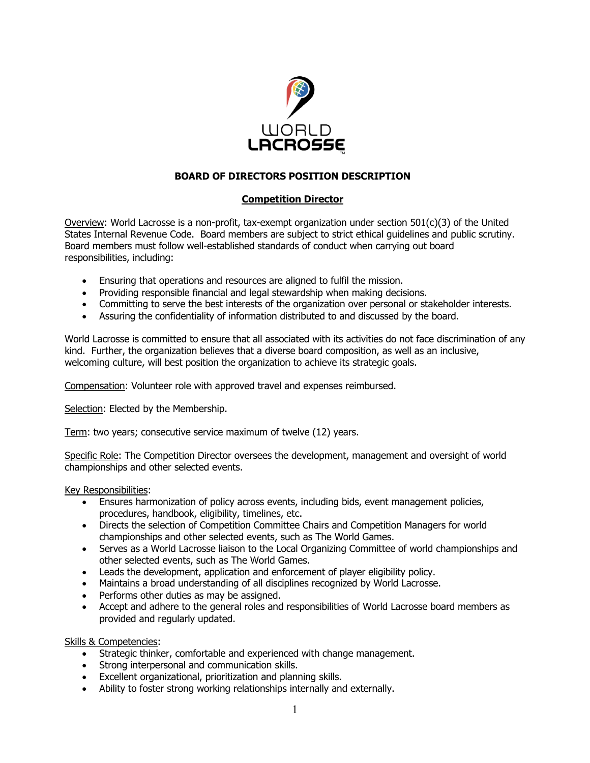

## **BOARD OF DIRECTORS POSITION DESCRIPTION**

## **Competition Director**

Overview: World Lacrosse is a non-profit, tax-exempt organization under section 501(c)(3) of the United States Internal Revenue Code. Board members are subject to strict ethical guidelines and public scrutiny. Board members must follow well-established standards of conduct when carrying out board responsibilities, including:

- Ensuring that operations and resources are aligned to fulfil the mission.
- Providing responsible financial and legal stewardship when making decisions.
- Committing to serve the best interests of the organization over personal or stakeholder interests.
- Assuring the confidentiality of information distributed to and discussed by the board.

World Lacrosse is committed to ensure that all associated with its activities do not face discrimination of any kind. Further, the organization believes that a diverse board composition, as well as an inclusive, welcoming culture, will best position the organization to achieve its strategic goals.

Compensation: Volunteer role with approved travel and expenses reimbursed.

Selection: Elected by the Membership.

Term: two years; consecutive service maximum of twelve (12) years.

Specific Role: The Competition Director oversees the development, management and oversight of world championships and other selected events.

Key Responsibilities:

- Ensures harmonization of policy across events, including bids, event management policies, procedures, handbook, eligibility, timelines, etc.
- Directs the selection of Competition Committee Chairs and Competition Managers for world championships and other selected events, such as The World Games.
- Serves as a World Lacrosse liaison to the Local Organizing Committee of world championships and other selected events, such as The World Games.
- Leads the development, application and enforcement of player eligibility policy.
- Maintains a broad understanding of all disciplines recognized by World Lacrosse.
- Performs other duties as may be assigned.
- Accept and adhere to the general roles and responsibilities of World Lacrosse board members as provided and regularly updated.

Skills & Competencies:

- Strategic thinker, comfortable and experienced with change management.
- Strong interpersonal and communication skills.
- Excellent organizational, prioritization and planning skills.
- Ability to foster strong working relationships internally and externally.